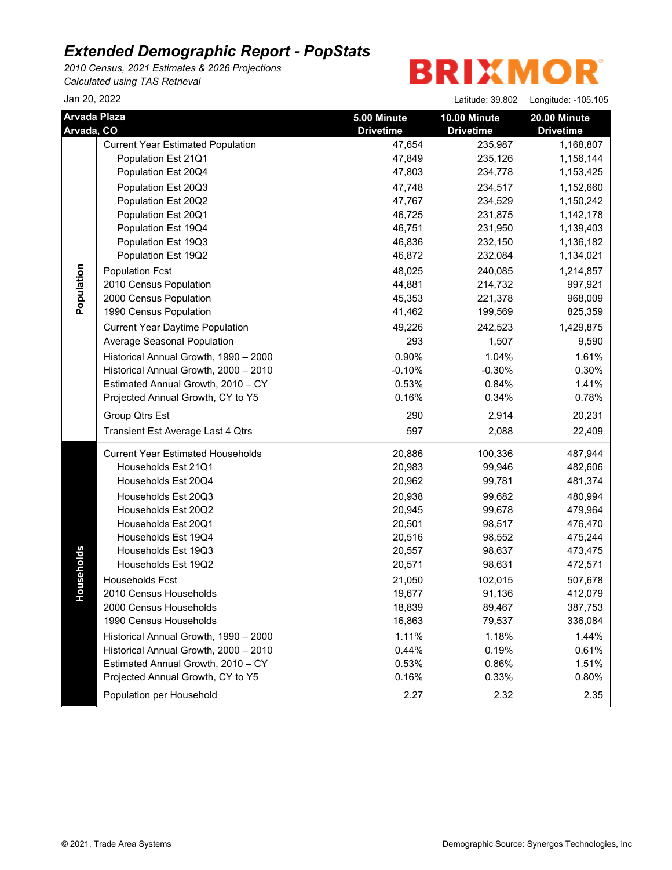*2010 Census, 2021 Estimates & 2026 Projections Calculated using TAS Retrieval*

| Jan 20, 2022                      |                                          |                                 | Latitude: 39.802                 | Longitude: -105.105                     |
|-----------------------------------|------------------------------------------|---------------------------------|----------------------------------|-----------------------------------------|
| <b>Arvada Plaza</b><br>Arvada, CO |                                          | 5.00 Minute<br><b>Drivetime</b> | 10.00 Minute<br><b>Drivetime</b> | <b>20.00 Minute</b><br><b>Drivetime</b> |
|                                   | <b>Current Year Estimated Population</b> | 47,654                          | 235,987                          | 1,168,807                               |
|                                   | Population Est 21Q1                      | 47,849                          | 235,126                          | 1,156,144                               |
|                                   | Population Est 20Q4                      | 47,803                          | 234,778                          | 1,153,425                               |
|                                   | Population Est 20Q3                      | 47,748                          | 234,517                          | 1,152,660                               |
|                                   | Population Est 20Q2                      | 47,767                          | 234,529                          | 1,150,242                               |
|                                   | Population Est 20Q1                      | 46,725                          | 231,875                          | 1,142,178                               |
|                                   | Population Est 19Q4                      | 46,751                          | 231,950                          | 1,139,403                               |
|                                   | Population Est 19Q3                      | 46,836                          | 232,150                          | 1,136,182                               |
|                                   | Population Est 19Q2                      | 46,872                          | 232,084                          | 1,134,021                               |
|                                   | <b>Population Fcst</b>                   | 48,025                          | 240,085                          | 1,214,857                               |
| Population                        | 2010 Census Population                   | 44,881                          | 214,732                          | 997,921                                 |
|                                   | 2000 Census Population                   | 45,353                          | 221,378                          | 968,009                                 |
|                                   | 1990 Census Population                   | 41,462                          | 199,569                          | 825,359                                 |
|                                   | <b>Current Year Daytime Population</b>   | 49,226                          | 242,523                          | 1,429,875                               |
|                                   | Average Seasonal Population              | 293                             | 1,507                            | 9,590                                   |
|                                   | Historical Annual Growth, 1990 - 2000    | 0.90%                           | 1.04%                            | 1.61%                                   |
|                                   | Historical Annual Growth, 2000 - 2010    | $-0.10%$                        | $-0.30%$                         | 0.30%                                   |
|                                   | Estimated Annual Growth, 2010 - CY       | 0.53%                           | 0.84%                            | 1.41%                                   |
|                                   | Projected Annual Growth, CY to Y5        | 0.16%                           | 0.34%                            | 0.78%                                   |
|                                   | Group Qtrs Est                           | 290                             | 2,914                            | 20,231                                  |
|                                   | Transient Est Average Last 4 Qtrs        | 597                             | 2,088                            | 22,409                                  |
|                                   | <b>Current Year Estimated Households</b> | 20,886                          | 100,336                          | 487,944                                 |
|                                   | Households Est 21Q1                      | 20,983                          | 99,946                           | 482,606                                 |
|                                   | Households Est 20Q4                      | 20,962                          | 99,781                           | 481,374                                 |
|                                   | Households Est 20Q3                      | 20,938                          | 99,682                           | 480,994                                 |
|                                   | Households Est 20Q2                      | 20,945                          | 99,678                           | 479,964                                 |
|                                   | Households Est 20Q1                      | 20,501                          | 98,517                           | 476,470                                 |
|                                   | Households Est 19Q4                      | 20,516                          | 98,552                           | 475,244                                 |
| useholds                          | Households Est 19Q3                      | 20,557                          | 98,637                           | 473,475                                 |
|                                   | Households Est 19Q2                      | 20,571                          | 98,631                           | 472,571                                 |
|                                   | <b>Households Fcst</b>                   | 21,050                          | 102,015                          | 507,678                                 |
| 오                                 | 2010 Census Households                   | 19,677                          | 91,136                           | 412,079                                 |
|                                   | 2000 Census Households                   | 18,839                          | 89,467                           | 387,753                                 |
|                                   | 1990 Census Households                   | 16,863                          | 79,537                           | 336,084                                 |
|                                   | Historical Annual Growth, 1990 - 2000    | 1.11%                           | 1.18%                            | 1.44%                                   |
|                                   | Historical Annual Growth, 2000 - 2010    | 0.44%                           | 0.19%                            | 0.61%                                   |
|                                   | Estimated Annual Growth, 2010 - CY       | 0.53%                           | 0.86%                            | 1.51%                                   |
|                                   | Projected Annual Growth, CY to Y5        | 0.16%                           | 0.33%                            | 0.80%                                   |
|                                   | Population per Household                 | 2.27                            | 2.32                             | 2.35                                    |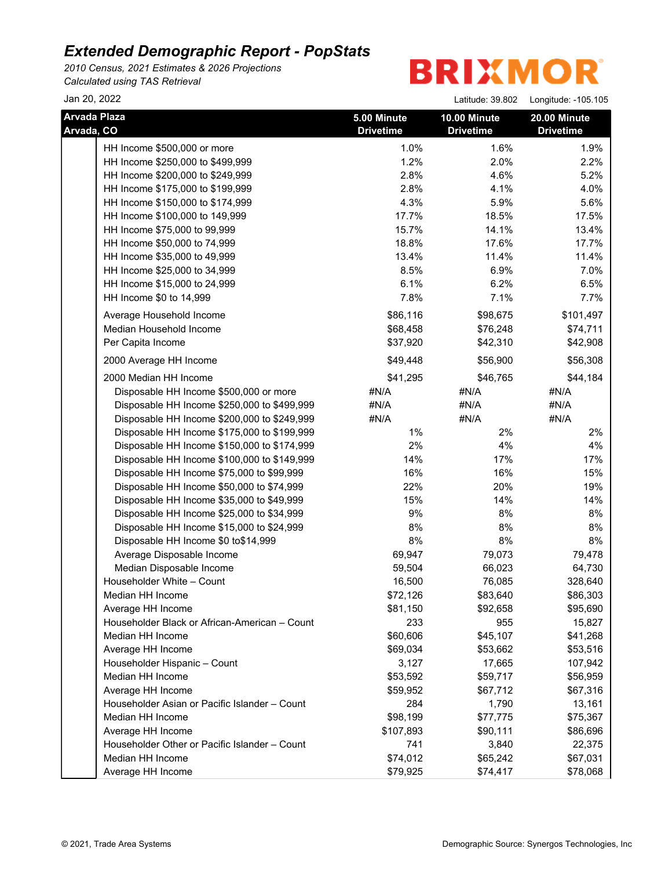*2010 Census, 2021 Estimates & 2026 Projections Calculated using TAS Retrieval*

| Jan 20, 2022                                  |                  | Latitude: 39.802 | Longitude: -105.105 |
|-----------------------------------------------|------------------|------------------|---------------------|
| <b>Arvada Plaza</b>                           | 5.00 Minute      | 10.00 Minute     | 20.00 Minute        |
| Arvada, CO                                    | <b>Drivetime</b> | <b>Drivetime</b> | <b>Drivetime</b>    |
| HH Income \$500,000 or more                   | 1.0%             | 1.6%             | 1.9%                |
| HH Income \$250,000 to \$499,999              | 1.2%             | 2.0%             | 2.2%                |
| HH Income \$200,000 to \$249,999              | 2.8%             | 4.6%             | 5.2%                |
| HH Income \$175,000 to \$199,999              | 2.8%             | 4.1%             | 4.0%                |
| HH Income \$150,000 to \$174,999              | 4.3%             | 5.9%             | 5.6%                |
| HH Income \$100,000 to 149,999                | 17.7%            | 18.5%            | 17.5%               |
| HH Income \$75,000 to 99,999                  | 15.7%            | 14.1%            | 13.4%               |
| HH Income \$50,000 to 74,999                  | 18.8%            | 17.6%            | 17.7%               |
| HH Income \$35,000 to 49,999                  | 13.4%            | 11.4%            | 11.4%               |
| HH Income \$25,000 to 34,999                  | 8.5%             | 6.9%             | 7.0%                |
| HH Income \$15,000 to 24,999                  | 6.1%             | 6.2%             | 6.5%                |
| HH Income \$0 to 14,999                       | 7.8%             | 7.1%             | 7.7%                |
| Average Household Income                      | \$86,116         | \$98,675         | \$101,497           |
| Median Household Income                       | \$68,458         | \$76,248         | \$74,711            |
| Per Capita Income                             | \$37,920         | \$42,310         | \$42,908            |
| 2000 Average HH Income                        | \$49,448         | \$56,900         | \$56,308            |
| 2000 Median HH Income                         | \$41,295         | \$46,765         | \$44,184            |
| Disposable HH Income \$500,000 or more        | #N/A             | #N/A             | #N/A                |
| Disposable HH Income \$250,000 to \$499,999   | #N/A             | #N/A             | #N/A                |
| Disposable HH Income \$200,000 to \$249,999   | #N/A             | #N/A             | #N/A                |
| Disposable HH Income \$175,000 to \$199,999   | $1\%$            | 2%               | 2%                  |
| Disposable HH Income \$150,000 to \$174,999   | 2%               | 4%               | 4%                  |
| Disposable HH Income \$100,000 to \$149,999   | 14%              | 17%              | 17%                 |
| Disposable HH Income \$75,000 to \$99,999     | 16%              | 16%              | 15%                 |
| Disposable HH Income \$50,000 to \$74,999     | 22%              | 20%              | 19%                 |
| Disposable HH Income \$35,000 to \$49,999     | 15%              | 14%              | 14%                 |
| Disposable HH Income \$25,000 to \$34,999     | 9%               | 8%               | $8%$                |
| Disposable HH Income \$15,000 to \$24,999     | 8%               | 8%               | $8%$                |
| Disposable HH Income \$0 to\$14,999           | 8%               | $8\%$            | 8%                  |
| Average Disposable Income                     | 69,947           | 79,073           | 79,478              |
| Median Disposable Income                      | 59,504           | 66,023           | 64,730              |
| Householder White - Count                     | 16,500           | 76,085           | 328,640             |
| Median HH Income                              | \$72,126         | \$83,640         | \$86,303            |
| Average HH Income                             | \$81,150         | \$92,658         | \$95,690            |
| Householder Black or African-American - Count | 233              | 955              | 15,827              |
| Median HH Income                              | \$60,606         | \$45,107         | \$41,268            |
| Average HH Income                             | \$69,034         | \$53,662         | \$53,516            |
| Householder Hispanic - Count                  | 3,127            | 17,665           | 107,942             |
| Median HH Income                              | \$53,592         | \$59,717         | \$56,959            |
| Average HH Income                             | \$59,952         | \$67,712         | \$67,316            |
| Householder Asian or Pacific Islander - Count | 284              | 1,790            | 13,161              |
| Median HH Income                              | \$98,199         | \$77,775         | \$75,367            |
| Average HH Income                             | \$107,893        | \$90,111         | \$86,696            |
| Householder Other or Pacific Islander - Count | 741              | 3,840            | 22,375              |
| Median HH Income                              | \$74,012         | \$65,242         | \$67,031            |
| Average HH Income                             | \$79,925         | \$74,417         | \$78,068            |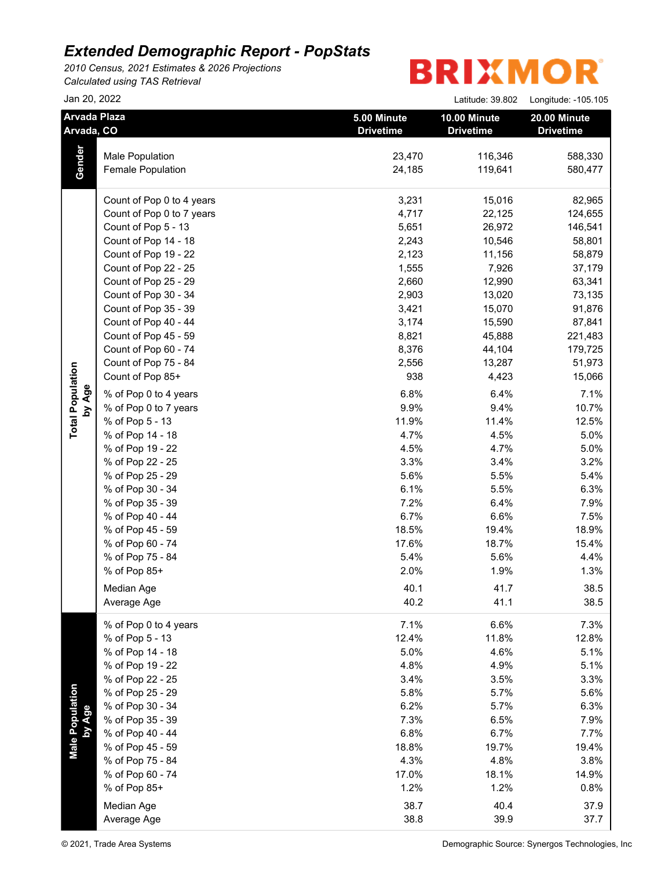*2010 Census, 2021 Estimates & 2026 Projections Calculated using TAS Retrieval*

|                           | Jan 20, 2022                      |                                 | Latitude: 39.802                 | Longitude: -105.105              |
|---------------------------|-----------------------------------|---------------------------------|----------------------------------|----------------------------------|
|                           | <b>Arvada Plaza</b><br>Arvada, CO | 5.00 Minute<br><b>Drivetime</b> | 10.00 Minute<br><b>Drivetime</b> | 20.00 Minute<br><b>Drivetime</b> |
|                           | Male Population                   | 23,470                          | 116,346                          | 588,330                          |
| Gender                    | Female Population                 | 24,185                          | 119,641                          | 580,477                          |
|                           | Count of Pop 0 to 4 years         | 3,231                           | 15,016                           | 82,965                           |
|                           | Count of Pop 0 to 7 years         | 4,717                           | 22,125                           | 124,655                          |
|                           | Count of Pop 5 - 13               | 5,651                           | 26,972                           | 146,541                          |
|                           | Count of Pop 14 - 18              | 2,243                           | 10,546                           | 58,801                           |
|                           | Count of Pop 19 - 22              | 2,123                           | 11,156                           | 58,879                           |
|                           | Count of Pop 22 - 25              | 1,555                           | 7,926                            | 37,179                           |
|                           | Count of Pop 25 - 29              | 2,660                           | 12,990                           | 63,341                           |
|                           | Count of Pop 30 - 34              | 2,903                           | 13,020                           | 73,135                           |
|                           | Count of Pop 35 - 39              | 3,421                           | 15,070                           | 91,876                           |
|                           | Count of Pop 40 - 44              | 3,174                           | 15,590                           | 87,841                           |
|                           | Count of Pop 45 - 59              | 8,821                           | 45,888                           | 221,483                          |
|                           | Count of Pop 60 - 74              | 8,376                           | 44,104                           | 179,725                          |
|                           | Count of Pop 75 - 84              | 2,556                           | 13,287                           | 51,973                           |
|                           | Count of Pop 85+                  | 938                             | 4,423                            | 15,066                           |
| by Age                    | % of Pop 0 to 4 years             | 6.8%                            | 6.4%                             | 7.1%                             |
|                           | % of Pop 0 to 7 years             | 9.9%                            | 9.4%                             | 10.7%                            |
|                           | % of Pop 5 - 13                   | 11.9%                           | 11.4%                            | 12.5%                            |
|                           | % of Pop 14 - 18                  | 4.7%                            | 4.5%                             | 5.0%                             |
|                           | % of Pop 19 - 22                  | 4.5%                            | 4.7%                             | 5.0%                             |
|                           | % of Pop 22 - 25                  | 3.3%                            | 3.4%                             | 3.2%                             |
|                           | % of Pop 25 - 29                  | 5.6%                            | 5.5%                             | 5.4%                             |
|                           | % of Pop 30 - 34                  | 6.1%                            | 5.5%                             | 6.3%                             |
|                           | % of Pop 35 - 39                  | 7.2%                            | 6.4%                             | 7.9%                             |
|                           | % of Pop 40 - 44                  | 6.7%                            | 6.6%                             | 7.5%                             |
|                           | % of Pop 45 - 59                  | 18.5%                           | 19.4%                            | 18.9%                            |
|                           | % of Pop 60 - 74                  | 17.6%                           | 18.7%                            | 15.4%                            |
|                           | % of Pop 75 - 84                  | 5.4%                            | 5.6%                             | 4.4%                             |
|                           | % of Pop 85+                      | 2.0%                            | 1.9%                             | 1.3%                             |
|                           | Median Age                        | 40.1                            | 41.7                             | 38.5                             |
|                           | Average Age                       | 40.2                            | 41.1                             | 38.5                             |
|                           | % of Pop 0 to 4 years             | 7.1%                            | 6.6%                             | 7.3%                             |
|                           | % of Pop 5 - 13                   | 12.4%                           | 11.8%                            | 12.8%                            |
|                           | % of Pop 14 - 18                  | 5.0%                            | 4.6%                             | 5.1%                             |
|                           | % of Pop 19 - 22                  | 4.8%                            | 4.9%                             | 5.1%                             |
|                           | % of Pop 22 - 25                  | 3.4%                            | 3.5%                             | 3.3%                             |
|                           | % of Pop 25 - 29                  | 5.8%                            | 5.7%                             | 5.6%                             |
|                           | % of Pop 30 - 34                  | 6.2%                            | 5.7%                             | 6.3%                             |
|                           | % of Pop 35 - 39                  | 7.3%                            | 6.5%                             | 7.9%                             |
|                           | % of Pop 40 - 44                  | 6.8%                            | 6.7%                             | 7.7%                             |
| Male Population<br>by Age | % of Pop 45 - 59                  | 18.8%                           | 19.7%                            | 19.4%                            |
|                           | % of Pop 75 - 84                  | 4.3%                            | 4.8%                             | 3.8%                             |
|                           | % of Pop 60 - 74                  | 17.0%                           | 18.1%                            | 14.9%                            |
|                           | % of Pop 85+                      | 1.2%                            | 1.2%                             | 0.8%                             |
|                           | Median Age                        | 38.7                            | 40.4                             | 37.9                             |
|                           | Average Age                       | 38.8                            | 39.9                             | 37.7                             |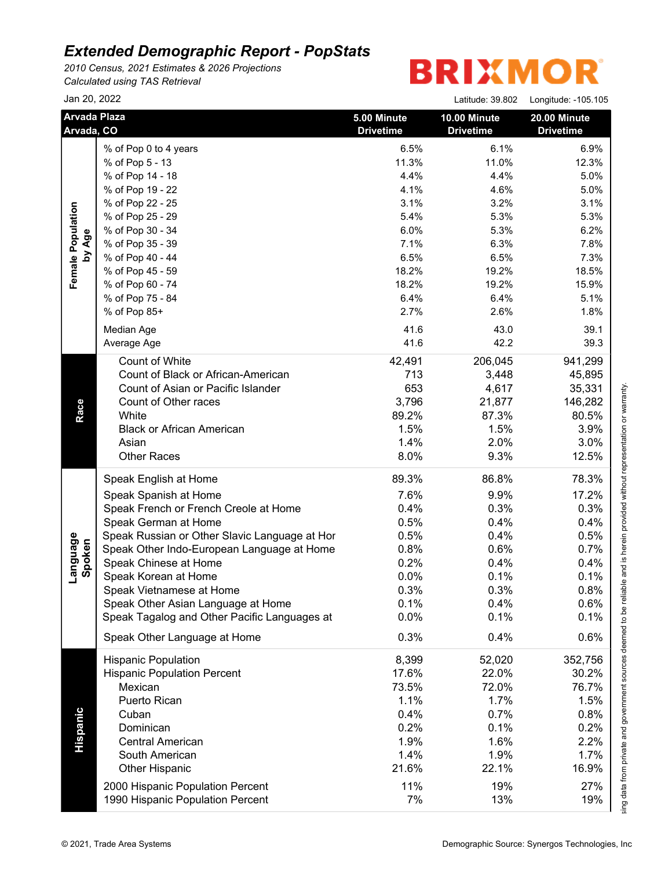*2010 Census, 2021 Estimates & 2026 Projections Calculated using TAS Retrieval*

| Jan 20, 2022                       |                                                                                                                                                                                                                                                                                                                                                                                                                                                                                                                                                                                                                                                       | Latitude: 39.802                                                                                                                                                        | Longitude: -105.105                                                                                                                                                           |
|------------------------------------|-------------------------------------------------------------------------------------------------------------------------------------------------------------------------------------------------------------------------------------------------------------------------------------------------------------------------------------------------------------------------------------------------------------------------------------------------------------------------------------------------------------------------------------------------------------------------------------------------------------------------------------------------------|-------------------------------------------------------------------------------------------------------------------------------------------------------------------------|-------------------------------------------------------------------------------------------------------------------------------------------------------------------------------|
|                                    | 5.00 Minute<br><b>Drivetime</b>                                                                                                                                                                                                                                                                                                                                                                                                                                                                                                                                                                                                                       | 10.00 Minute<br><b>Drivetime</b>                                                                                                                                        | 20.00 Minute<br><b>Drivetime</b>                                                                                                                                              |
| % of Pop 0 to 4 years              | 6.5%                                                                                                                                                                                                                                                                                                                                                                                                                                                                                                                                                                                                                                                  | 6.1%                                                                                                                                                                    | 6.9%                                                                                                                                                                          |
| % of Pop 5 - 13                    | 11.3%                                                                                                                                                                                                                                                                                                                                                                                                                                                                                                                                                                                                                                                 | 11.0%                                                                                                                                                                   | 12.3%                                                                                                                                                                         |
| % of Pop 14 - 18                   | 4.4%                                                                                                                                                                                                                                                                                                                                                                                                                                                                                                                                                                                                                                                  | 4.4%                                                                                                                                                                    | 5.0%                                                                                                                                                                          |
| % of Pop 19 - 22                   | 4.1%                                                                                                                                                                                                                                                                                                                                                                                                                                                                                                                                                                                                                                                  | 4.6%                                                                                                                                                                    | 5.0%                                                                                                                                                                          |
| % of Pop 22 - 25                   | 3.1%                                                                                                                                                                                                                                                                                                                                                                                                                                                                                                                                                                                                                                                  | 3.2%                                                                                                                                                                    | 3.1%<br>941,299<br>45,895<br>35,331<br>146,282<br>80.5%<br>3.9%<br>3.0%<br>12.5%<br>78.3%<br>17.2%<br>0.8%                                                                    |
| % of Pop 25 - 29                   | 5.4%                                                                                                                                                                                                                                                                                                                                                                                                                                                                                                                                                                                                                                                  | 5.3%                                                                                                                                                                    | 5.3%                                                                                                                                                                          |
| % of Pop 30 - 34                   | 6.0%                                                                                                                                                                                                                                                                                                                                                                                                                                                                                                                                                                                                                                                  | 5.3%                                                                                                                                                                    | 6.2%                                                                                                                                                                          |
| % of Pop 35 - 39                   | 7.1%                                                                                                                                                                                                                                                                                                                                                                                                                                                                                                                                                                                                                                                  | 6.3%                                                                                                                                                                    | 7.8%                                                                                                                                                                          |
| % of Pop 40 - 44                   | 6.5%                                                                                                                                                                                                                                                                                                                                                                                                                                                                                                                                                                                                                                                  | 6.5%                                                                                                                                                                    | 7.3%                                                                                                                                                                          |
| % of Pop 45 - 59                   | 18.2%                                                                                                                                                                                                                                                                                                                                                                                                                                                                                                                                                                                                                                                 | 19.2%                                                                                                                                                                   | 18.5%                                                                                                                                                                         |
| % of Pop 60 - 74                   | 18.2%                                                                                                                                                                                                                                                                                                                                                                                                                                                                                                                                                                                                                                                 | 19.2%                                                                                                                                                                   | 15.9%                                                                                                                                                                         |
| % of Pop 75 - 84                   | 6.4%                                                                                                                                                                                                                                                                                                                                                                                                                                                                                                                                                                                                                                                  | 6.4%                                                                                                                                                                    | 5.1%                                                                                                                                                                          |
| % of Pop 85+                       | 2.7%                                                                                                                                                                                                                                                                                                                                                                                                                                                                                                                                                                                                                                                  | 2.6%                                                                                                                                                                    | 1.8%                                                                                                                                                                          |
|                                    |                                                                                                                                                                                                                                                                                                                                                                                                                                                                                                                                                                                                                                                       |                                                                                                                                                                         | 39.1                                                                                                                                                                          |
|                                    |                                                                                                                                                                                                                                                                                                                                                                                                                                                                                                                                                                                                                                                       |                                                                                                                                                                         | 39.3                                                                                                                                                                          |
|                                    |                                                                                                                                                                                                                                                                                                                                                                                                                                                                                                                                                                                                                                                       |                                                                                                                                                                         |                                                                                                                                                                               |
|                                    |                                                                                                                                                                                                                                                                                                                                                                                                                                                                                                                                                                                                                                                       |                                                                                                                                                                         |                                                                                                                                                                               |
|                                    |                                                                                                                                                                                                                                                                                                                                                                                                                                                                                                                                                                                                                                                       |                                                                                                                                                                         |                                                                                                                                                                               |
|                                    |                                                                                                                                                                                                                                                                                                                                                                                                                                                                                                                                                                                                                                                       |                                                                                                                                                                         |                                                                                                                                                                               |
|                                    |                                                                                                                                                                                                                                                                                                                                                                                                                                                                                                                                                                                                                                                       |                                                                                                                                                                         |                                                                                                                                                                               |
|                                    |                                                                                                                                                                                                                                                                                                                                                                                                                                                                                                                                                                                                                                                       |                                                                                                                                                                         |                                                                                                                                                                               |
|                                    |                                                                                                                                                                                                                                                                                                                                                                                                                                                                                                                                                                                                                                                       |                                                                                                                                                                         |                                                                                                                                                                               |
|                                    |                                                                                                                                                                                                                                                                                                                                                                                                                                                                                                                                                                                                                                                       |                                                                                                                                                                         |                                                                                                                                                                               |
|                                    |                                                                                                                                                                                                                                                                                                                                                                                                                                                                                                                                                                                                                                                       |                                                                                                                                                                         |                                                                                                                                                                               |
|                                    |                                                                                                                                                                                                                                                                                                                                                                                                                                                                                                                                                                                                                                                       |                                                                                                                                                                         |                                                                                                                                                                               |
|                                    |                                                                                                                                                                                                                                                                                                                                                                                                                                                                                                                                                                                                                                                       |                                                                                                                                                                         |                                                                                                                                                                               |
|                                    |                                                                                                                                                                                                                                                                                                                                                                                                                                                                                                                                                                                                                                                       |                                                                                                                                                                         | 0.3%                                                                                                                                                                          |
|                                    |                                                                                                                                                                                                                                                                                                                                                                                                                                                                                                                                                                                                                                                       |                                                                                                                                                                         | 0.4%                                                                                                                                                                          |
|                                    |                                                                                                                                                                                                                                                                                                                                                                                                                                                                                                                                                                                                                                                       |                                                                                                                                                                         | 0.5%                                                                                                                                                                          |
|                                    |                                                                                                                                                                                                                                                                                                                                                                                                                                                                                                                                                                                                                                                       |                                                                                                                                                                         | 0.7%                                                                                                                                                                          |
|                                    |                                                                                                                                                                                                                                                                                                                                                                                                                                                                                                                                                                                                                                                       |                                                                                                                                                                         | 0.4%                                                                                                                                                                          |
|                                    |                                                                                                                                                                                                                                                                                                                                                                                                                                                                                                                                                                                                                                                       |                                                                                                                                                                         | 0.1%                                                                                                                                                                          |
|                                    |                                                                                                                                                                                                                                                                                                                                                                                                                                                                                                                                                                                                                                                       |                                                                                                                                                                         |                                                                                                                                                                               |
|                                    |                                                                                                                                                                                                                                                                                                                                                                                                                                                                                                                                                                                                                                                       |                                                                                                                                                                         | 0.6%                                                                                                                                                                          |
|                                    |                                                                                                                                                                                                                                                                                                                                                                                                                                                                                                                                                                                                                                                       |                                                                                                                                                                         | 0.1%                                                                                                                                                                          |
| Speak Other Language at Home       | 0.3%                                                                                                                                                                                                                                                                                                                                                                                                                                                                                                                                                                                                                                                  | 0.4%                                                                                                                                                                    | 0.6%                                                                                                                                                                          |
| <b>Hispanic Population</b>         | 8,399                                                                                                                                                                                                                                                                                                                                                                                                                                                                                                                                                                                                                                                 | 52,020                                                                                                                                                                  | 352,756                                                                                                                                                                       |
| <b>Hispanic Population Percent</b> | 17.6%                                                                                                                                                                                                                                                                                                                                                                                                                                                                                                                                                                                                                                                 | 22.0%                                                                                                                                                                   | 30.2%                                                                                                                                                                         |
| Mexican                            | 73.5%                                                                                                                                                                                                                                                                                                                                                                                                                                                                                                                                                                                                                                                 | 72.0%                                                                                                                                                                   | 76.7%                                                                                                                                                                         |
| Puerto Rican                       | 1.1%                                                                                                                                                                                                                                                                                                                                                                                                                                                                                                                                                                                                                                                  | 1.7%                                                                                                                                                                    | 1.5%                                                                                                                                                                          |
| Cuban                              | 0.4%                                                                                                                                                                                                                                                                                                                                                                                                                                                                                                                                                                                                                                                  | 0.7%                                                                                                                                                                    | 0.8%                                                                                                                                                                          |
| Dominican                          | 0.2%                                                                                                                                                                                                                                                                                                                                                                                                                                                                                                                                                                                                                                                  | 0.1%                                                                                                                                                                    | 0.2%                                                                                                                                                                          |
| <b>Central American</b>            | 1.9%                                                                                                                                                                                                                                                                                                                                                                                                                                                                                                                                                                                                                                                  | 1.6%                                                                                                                                                                    | 2.2%                                                                                                                                                                          |
| South American                     | 1.4%                                                                                                                                                                                                                                                                                                                                                                                                                                                                                                                                                                                                                                                  | 1.9%                                                                                                                                                                    | 1.7%                                                                                                                                                                          |
| Other Hispanic                     | 21.6%                                                                                                                                                                                                                                                                                                                                                                                                                                                                                                                                                                                                                                                 | 22.1%                                                                                                                                                                   | 16.9%                                                                                                                                                                         |
|                                    |                                                                                                                                                                                                                                                                                                                                                                                                                                                                                                                                                                                                                                                       |                                                                                                                                                                         |                                                                                                                                                                               |
| 2000 Hispanic Population Percent   | 11%                                                                                                                                                                                                                                                                                                                                                                                                                                                                                                                                                                                                                                                   | 19%                                                                                                                                                                     | 27%                                                                                                                                                                           |
|                                    | <b>Arvada Plaza</b><br>Arvada, CO<br>Median Age<br>Average Age<br>Count of White<br>Count of Black or African-American<br>Count of Asian or Pacific Islander<br>Count of Other races<br>White<br><b>Black or African American</b><br>Asian<br><b>Other Races</b><br>Speak English at Home<br>Speak Spanish at Home<br>Speak French or French Creole at Home<br>Speak German at Home<br>Speak Russian or Other Slavic Language at Hor<br>Speak Other Indo-European Language at Home<br>Speak Chinese at Home<br>Speak Korean at Home<br>Speak Vietnamese at Home<br>Speak Other Asian Language at Home<br>Speak Tagalog and Other Pacific Languages at | 41.6<br>41.6<br>42,491<br>713<br>653<br>3,796<br>89.2%<br>1.5%<br>1.4%<br>8.0%<br>89.3%<br>7.6%<br>0.4%<br>0.5%<br>0.5%<br>0.8%<br>0.2%<br>0.0%<br>0.3%<br>0.1%<br>0.0% | 43.0<br>42.2<br>206,045<br>3,448<br>4,617<br>21,877<br>87.3%<br>1.5%<br>2.0%<br>9.3%<br>86.8%<br>9.9%<br>0.3%<br>0.4%<br>0.4%<br>0.6%<br>0.4%<br>0.1%<br>0.3%<br>0.4%<br>0.1% |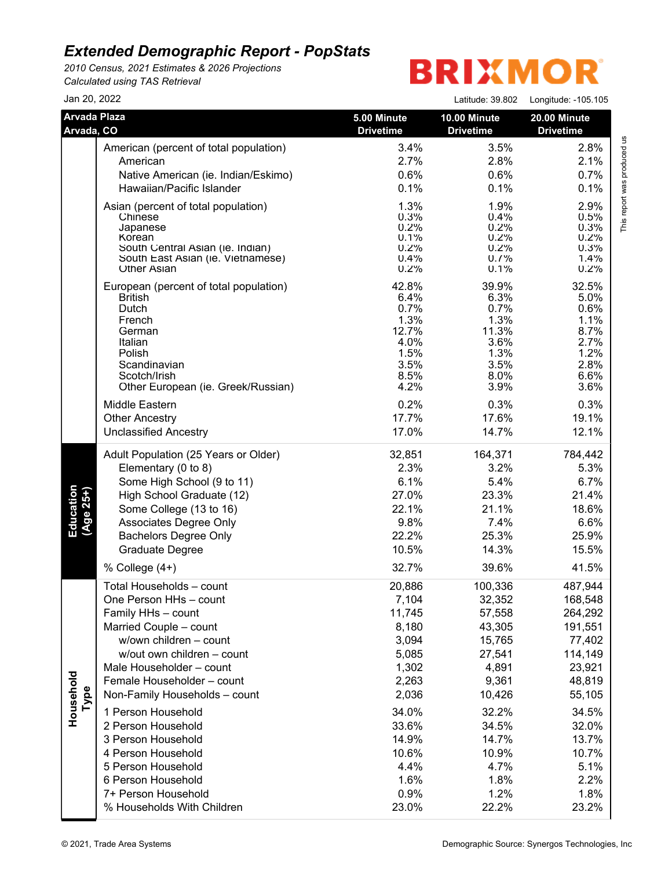*2010 Census, 2021 Estimates & 2026 Projections Calculated using TAS Retrieval*

| Jan 20, 2022                      |                                                                                                                                                                                                                                                         |                                                                                | Latitude: 39.802                                                               | Longitude: -105.105                                                              |
|-----------------------------------|---------------------------------------------------------------------------------------------------------------------------------------------------------------------------------------------------------------------------------------------------------|--------------------------------------------------------------------------------|--------------------------------------------------------------------------------|----------------------------------------------------------------------------------|
| <b>Arvada Plaza</b><br>Arvada, CO |                                                                                                                                                                                                                                                         | 5.00 Minute<br><b>Drivetime</b>                                                | 10.00 Minute<br><b>Drivetime</b>                                               | 20.00 Minute<br><b>Drivetime</b>                                                 |
|                                   | American (percent of total population)                                                                                                                                                                                                                  | 3.4%                                                                           | 3.5%                                                                           | 2.8%                                                                             |
|                                   | American                                                                                                                                                                                                                                                | 2.7%                                                                           | 2.8%                                                                           | 2.1%                                                                             |
|                                   | Native American (ie. Indian/Eskimo)                                                                                                                                                                                                                     | 0.6%                                                                           | 0.6%                                                                           | 0.7%                                                                             |
|                                   | Hawaiian/Pacific Islander                                                                                                                                                                                                                               | 0.1%                                                                           | 0.1%                                                                           | 0.1%                                                                             |
|                                   | Asian (percent of total population)<br>Chinese<br>Japanese                                                                                                                                                                                              | 1.3%<br>0.3%<br>0.2%<br>0.1%                                                   | 1.9%<br>0.4%<br>0.2%<br>0.2%                                                   | 2.9%<br>0.5%<br>0.3%<br>0.2%                                                     |
|                                   | Korean<br>South Central Asian (ie. Indian)                                                                                                                                                                                                              | 0.2%                                                                           | 0.2%                                                                           | 0.3%                                                                             |
|                                   | South East Asian (ie. Vietnamese)<br><b>Other Asian</b>                                                                                                                                                                                                 | 0.4%<br>0.2%                                                                   | 0.7%<br>0.1%                                                                   | 1.4%<br>0.2%                                                                     |
|                                   | European (percent of total population)<br><b>British</b><br>Dutch<br>French<br>German<br>Italian<br>Polish<br>Scandinavian<br>Scotch/Irish<br>Other European (ie. Greek/Russian)                                                                        | 42.8%<br>6.4%<br>0.7%<br>1.3%<br>12.7%<br>4.0%<br>1.5%<br>3.5%<br>8.5%<br>4.2% | 39.9%<br>6.3%<br>0.7%<br>1.3%<br>11.3%<br>3.6%<br>1.3%<br>3.5%<br>8.0%<br>3.9% | 32.5%<br>5.0%<br>0.6%<br>1.1%<br>8.7%<br>2.7%<br>1.2%<br>2.8%<br>6.6%<br>3.6%    |
|                                   | Middle Eastern                                                                                                                                                                                                                                          | 0.2%                                                                           | 0.3%                                                                           | 0.3%                                                                             |
|                                   | <b>Other Ancestry</b>                                                                                                                                                                                                                                   | 17.7%                                                                          | 17.6%                                                                          | 19.1%                                                                            |
|                                   | <b>Unclassified Ancestry</b>                                                                                                                                                                                                                            | 17.0%                                                                          | 14.7%                                                                          | 12.1%                                                                            |
| Education<br>(Age 25+)            | Adult Population (25 Years or Older)<br>Elementary (0 to 8)<br>Some High School (9 to 11)<br>High School Graduate (12)<br>Some College (13 to 16)<br>Associates Degree Only<br><b>Bachelors Degree Only</b><br><b>Graduate Degree</b><br>% College (4+) | 32,851<br>2.3%<br>6.1%<br>27.0%<br>22.1%<br>9.8%<br>22.2%<br>10.5%<br>32.7%    | 164,371<br>3.2%<br>5.4%<br>23.3%<br>21.1%<br>7.4%<br>25.3%<br>14.3%<br>39.6%   | 784,442<br>5.3%<br>6.7%<br>21.4%<br>18.6%<br>6.6%<br>25.9%<br>15.5%<br>41.5%     |
|                                   | Total Households - count                                                                                                                                                                                                                                | 20,886                                                                         | 100,336                                                                        | 487,944                                                                          |
| Household<br>Type                 | One Person HHs - count<br>Family HHs - count<br>Married Couple - count<br>w/own children - count<br>w/out own children - count<br>Male Householder - count<br>Female Householder - count<br>Non-Family Households - count                               | 7,104<br>11,745<br>8,180<br>3,094<br>5,085<br>1,302<br>2,263<br>2,036          | 32,352<br>57,558<br>43,305<br>15,765<br>27,541<br>4,891<br>9,361<br>10,426     | 168,548<br>264,292<br>191,551<br>77,402<br>114,149<br>23,921<br>48,819<br>55,105 |
|                                   | 1 Person Household<br>2 Person Household<br>3 Person Household<br>4 Person Household<br>5 Person Household<br>6 Person Household<br>7+ Person Household<br>% Households With Children                                                                   | 34.0%<br>33.6%<br>14.9%<br>10.6%<br>4.4%<br>1.6%<br>0.9%<br>23.0%              | 32.2%<br>34.5%<br>14.7%<br>10.9%<br>4.7%<br>1.8%<br>1.2%<br>22.2%              | 34.5%<br>32.0%<br>13.7%<br>10.7%<br>5.1%<br>2.2%<br>1.8%<br>23.2%                |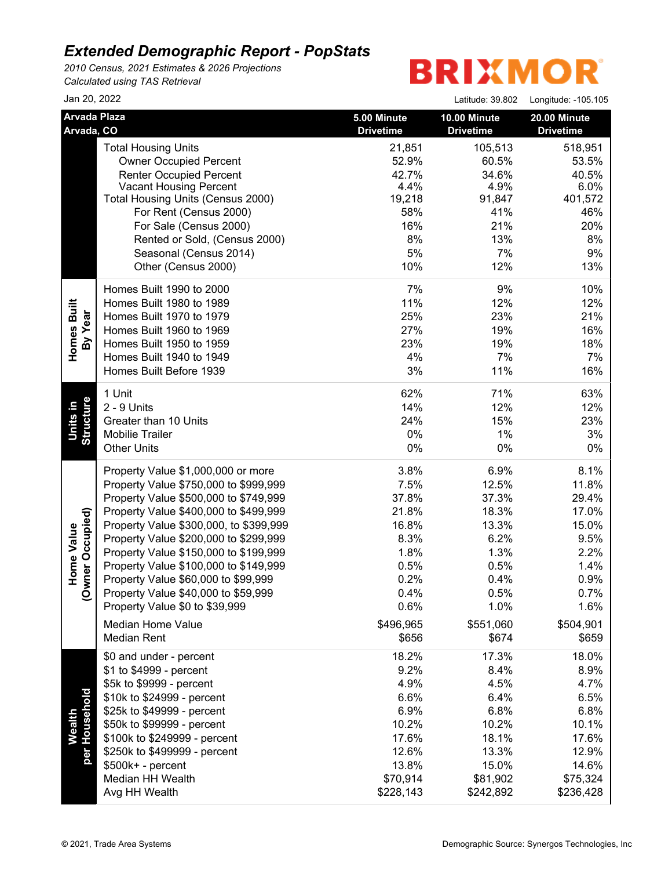*2010 Census, 2021 Estimates & 2026 Projections Calculated using TAS Retrieval*

| Jan 20, 2022                      |                                                                                                                                                                                                                                                                                                                                                                                                                                                    |                                                                                                                          | Latitude: 39.802                                                                                                         | Longitude: -105.105                                                                                                      |
|-----------------------------------|----------------------------------------------------------------------------------------------------------------------------------------------------------------------------------------------------------------------------------------------------------------------------------------------------------------------------------------------------------------------------------------------------------------------------------------------------|--------------------------------------------------------------------------------------------------------------------------|--------------------------------------------------------------------------------------------------------------------------|--------------------------------------------------------------------------------------------------------------------------|
| <b>Arvada Plaza</b><br>Arvada, CO |                                                                                                                                                                                                                                                                                                                                                                                                                                                    | 5.00 Minute<br><b>Drivetime</b>                                                                                          | 10.00 Minute<br><b>Drivetime</b>                                                                                         | 20.00 Minute<br><b>Drivetime</b>                                                                                         |
|                                   | <b>Total Housing Units</b><br><b>Owner Occupied Percent</b><br><b>Renter Occupied Percent</b><br><b>Vacant Housing Percent</b><br>Total Housing Units (Census 2000)<br>For Rent (Census 2000)<br>For Sale (Census 2000)<br>Rented or Sold, (Census 2000)<br>Seasonal (Census 2014)                                                                                                                                                                 | 21,851<br>52.9%<br>42.7%<br>4.4%<br>19,218<br>58%<br>16%<br>8%<br>5%                                                     | 105,513<br>60.5%<br>34.6%<br>4.9%<br>91,847<br>41%<br>21%<br>13%<br>7%                                                   | 518,951<br>53.5%<br>40.5%<br>6.0%<br>401,572<br>46%<br>20%<br>8%<br>9%                                                   |
| Homes Built<br>By Year            | Other (Census 2000)<br>Homes Built 1990 to 2000<br>Homes Built 1980 to 1989<br>Homes Built 1970 to 1979<br>Homes Built 1960 to 1969<br>Homes Built 1950 to 1959<br>Homes Built 1940 to 1949<br>Homes Built Before 1939                                                                                                                                                                                                                             | 10%<br>7%<br>11%<br>25%<br>27%<br>23%<br>4%<br>3%                                                                        | 12%<br>9%<br>12%<br>23%<br>19%<br>19%<br>7%<br>11%                                                                       | 13%<br>10%<br>12%<br>21%<br>16%<br>18%<br>7%<br>16%                                                                      |
| <b>Units in</b><br>Structure      | 1 Unit<br>2 - 9 Units<br>Greater than 10 Units<br><b>Mobilie Trailer</b><br><b>Other Units</b>                                                                                                                                                                                                                                                                                                                                                     | 62%<br>14%<br>24%<br>0%<br>$0\%$                                                                                         | 71%<br>12%<br>15%<br>1%<br>0%                                                                                            | 63%<br>12%<br>23%<br>3%<br>0%                                                                                            |
| mer Occupied)<br>Home Value<br>ģ  | Property Value \$1,000,000 or more<br>Property Value \$750,000 to \$999,999<br>Property Value \$500,000 to \$749,999<br>Property Value \$400,000 to \$499,999<br>Property Value \$300,000, to \$399,999<br>Property Value \$200,000 to \$299,999<br>Property Value \$150,000 to \$199,999<br>Property Value \$100,000 to \$149,999<br>Property Value \$60,000 to \$99,999<br>Property Value \$40,000 to \$59,999<br>Property Value \$0 to \$39,999 | 3.8%<br>7.5%<br>37.8%<br>21.8%<br>16.8%<br>8.3%<br>1.8%<br>0.5%<br>0.2%<br>0.4%<br>0.6%                                  | 6.9%<br>12.5%<br>37.3%<br>18.3%<br>13.3%<br>6.2%<br>1.3%<br>0.5%<br>0.4%<br>0.5%<br>1.0%                                 | 8.1%<br>11.8%<br>29.4%<br>17.0%<br>15.0%<br>9.5%<br>2.2%<br>1.4%<br>0.9%<br>0.7%<br>1.6%                                 |
| Wealth<br>Household<br>per l      | <b>Median Home Value</b><br><b>Median Rent</b><br>\$0 and under - percent<br>\$1 to \$4999 - percent<br>\$5k to \$9999 - percent<br>\$10k to \$24999 - percent<br>\$25k to \$49999 - percent<br>\$50k to \$99999 - percent<br>\$100k to \$249999 - percent<br>\$250k to \$499999 - percent<br>\$500k+ - percent<br>Median HH Wealth<br>Avg HH Wealth                                                                                               | \$496,965<br>\$656<br>18.2%<br>9.2%<br>4.9%<br>6.6%<br>6.9%<br>10.2%<br>17.6%<br>12.6%<br>13.8%<br>\$70,914<br>\$228,143 | \$551,060<br>\$674<br>17.3%<br>8.4%<br>4.5%<br>6.4%<br>6.8%<br>10.2%<br>18.1%<br>13.3%<br>15.0%<br>\$81,902<br>\$242,892 | \$504,901<br>\$659<br>18.0%<br>8.9%<br>4.7%<br>6.5%<br>6.8%<br>10.1%<br>17.6%<br>12.9%<br>14.6%<br>\$75,324<br>\$236,428 |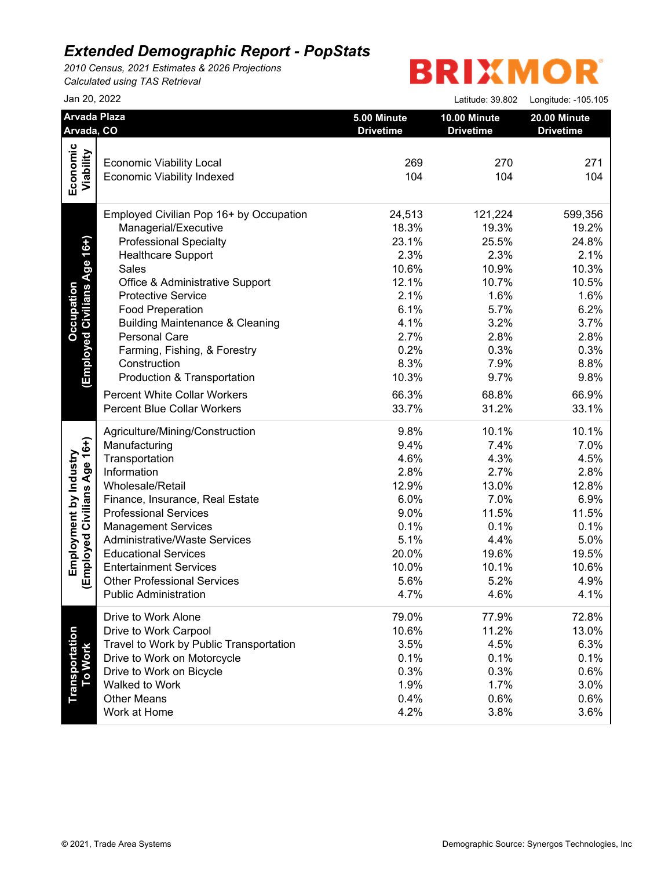*2010 Census, 2021 Estimates & 2026 Projections Calculated using TAS Retrieval*

|                                  | Jan 20, 2022                               |                                 | Latitude: 39.802                 | Longitude: - 105.105             |
|----------------------------------|--------------------------------------------|---------------------------------|----------------------------------|----------------------------------|
| Arvada, CO                       | Arvada Plaza                               | 5.00 Minute<br><b>Drivetime</b> | 10.00 Minute<br><b>Drivetime</b> | 20.00 Minute<br><b>Drivetime</b> |
|                                  |                                            |                                 |                                  |                                  |
|                                  | <b>Economic Viability Local</b>            | 269                             | 270                              | 271                              |
| Economic<br>Viability            | <b>Economic Viability Indexed</b>          | 104                             | 104                              | 104                              |
|                                  | Employed Civilian Pop 16+ by Occupation    | 24,513                          | 121,224                          | 599,356                          |
|                                  | Managerial/Executive                       | 18.3%                           | 19.3%                            | 19.2%                            |
| (Employed Civilians Age 16+)     | <b>Professional Specialty</b>              | 23.1%                           | 25.5%                            | 24.8%                            |
|                                  | <b>Healthcare Support</b>                  | 2.3%                            | 2.3%                             | 2.1%                             |
|                                  | Sales                                      | 10.6%                           | 10.9%                            | 10.3%                            |
|                                  | Office & Administrative Support            | 12.1%                           | 10.7%                            | 10.5%                            |
|                                  | <b>Protective Service</b>                  | 2.1%                            | 1.6%                             | 1.6%                             |
|                                  | <b>Food Preperation</b>                    | 6.1%                            | 5.7%                             | 6.2%                             |
|                                  | <b>Building Maintenance &amp; Cleaning</b> | 4.1%                            | 3.2%                             | 3.7%                             |
|                                  | Personal Care                              | 2.7%                            | 2.8%                             | 2.8%                             |
|                                  | Farming, Fishing, & Forestry               | 0.2%                            | 0.3%                             | 0.3%                             |
|                                  | Construction                               | 8.3%                            | 7.9%                             | 8.8%                             |
|                                  | Production & Transportation                | 10.3%                           | 9.7%                             | 9.8%                             |
|                                  | <b>Percent White Collar Workers</b>        | 66.3%                           | 68.8%                            | 66.9%                            |
|                                  | <b>Percent Blue Collar Workers</b>         | 33.7%                           | 31.2%                            | 33.1%                            |
|                                  | Agriculture/Mining/Construction            | 9.8%                            | 10.1%                            | 10.1%                            |
|                                  | Manufacturing                              | 9.4%                            | 7.4%                             | 7.0%                             |
|                                  | Transportation                             | 4.6%                            | 4.3%                             | 4.5%                             |
|                                  | Information                                | 2.8%                            | 2.7%                             | 2.8%                             |
|                                  | Wholesale/Retail                           | 12.9%                           | 13.0%                            | 12.8%                            |
|                                  | Finance, Insurance, Real Estate            | 6.0%                            | 7.0%                             | 6.9%                             |
|                                  | <b>Professional Services</b>               | 9.0%                            | 11.5%                            | 11.5%                            |
|                                  | <b>Management Services</b>                 | 0.1%                            | 0.1%                             | 0.1%                             |
| Employed Civilians Age 16+)      | Administrative/Waste Services              | 5.1%                            | 4.4%                             | 5.0%                             |
|                                  | <b>Educational Services</b>                | 20.0%                           | 19.6%                            | 19.5%                            |
|                                  | <b>Entertainment Services</b>              | 10.0%                           | 10.1%                            | 10.6%                            |
|                                  | <b>Other Professional Services</b>         | 5.6%                            | 5.2%                             | 4.9%                             |
|                                  | <b>Public Administration</b>               | 4.7%                            | 4.6%                             | 4.1%                             |
|                                  | Drive to Work Alone                        | 79.0%                           | 77.9%                            | 72.8%                            |
|                                  | Drive to Work Carpool                      | 10.6%                           | 11.2%                            | 13.0%                            |
|                                  | Travel to Work by Public Transportation    | 3.5%                            | 4.5%                             | 6.3%                             |
|                                  | Drive to Work on Motorcycle                | 0.1%                            | 0.1%                             | 0.1%                             |
|                                  | Drive to Work on Bicycle                   | 0.3%                            | 0.3%                             | 0.6%                             |
|                                  | Walked to Work                             | 1.9%                            | 1.7%                             | 3.0%                             |
| <b>Transportation</b><br>To Work | <b>Other Means</b>                         | 0.4%                            | 0.6%                             | 0.6%                             |
|                                  | Work at Home                               | 4.2%                            | 3.8%                             | 3.6%                             |